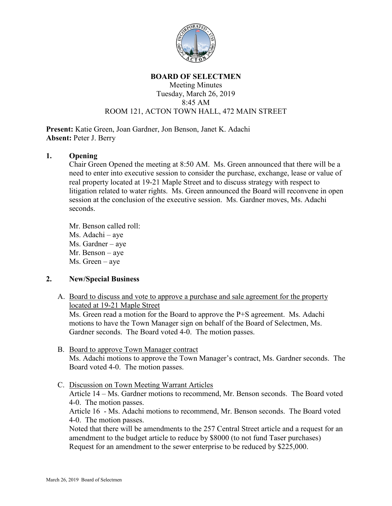

#### **BOARD OF SELECTMEN**

### Meeting Minutes Tuesday, March 26, 2019 8:45 AM ROOM 121, ACTON TOWN HALL, 472 MAIN STREET

**Present:** Katie Green, Joan Gardner, Jon Benson, Janet K. Adachi **Absent:** Peter J. Berry

### **1. Opening**

Chair Green Opened the meeting at 8:50 AM. Ms. Green announced that there will be a need to enter into executive session to consider the purchase, exchange, lease or value of real property located at 19-21 Maple Street and to discuss strategy with respect to litigation related to water rights. Ms. Green announced the Board will reconvene in open session at the conclusion of the executive session. Ms. Gardner moves, Ms. Adachi seconds.

Mr. Benson called roll: Ms. Adachi – aye Ms. Gardner – aye Mr. Benson – aye Ms. Green – aye

## **2. New/Special Business**

A. Board to discuss and vote to approve a purchase and sale agreement for the property located at 19-21 Maple Street

Ms. Green read a motion for the Board to approve the P+S agreement. Ms. Adachi motions to have the Town Manager sign on behalf of the Board of Selectmen, Ms. Gardner seconds. The Board voted 4-0. The motion passes.

- B. Board to approve Town Manager contract Ms. Adachi motions to approve the Town Manager's contract, Ms. Gardner seconds. The Board voted 4-0. The motion passes.
- C. Discussion on Town Meeting Warrant Articles

Article 14 – Ms. Gardner motions to recommend, Mr. Benson seconds. The Board voted 4-0. The motion passes.

Article 16 - Ms. Adachi motions to recommend, Mr. Benson seconds. The Board voted 4-0. The motion passes.

Noted that there will be amendments to the 257 Central Street article and a request for an amendment to the budget article to reduce by \$8000 (to not fund Taser purchases) Request for an amendment to the sewer enterprise to be reduced by \$225,000.